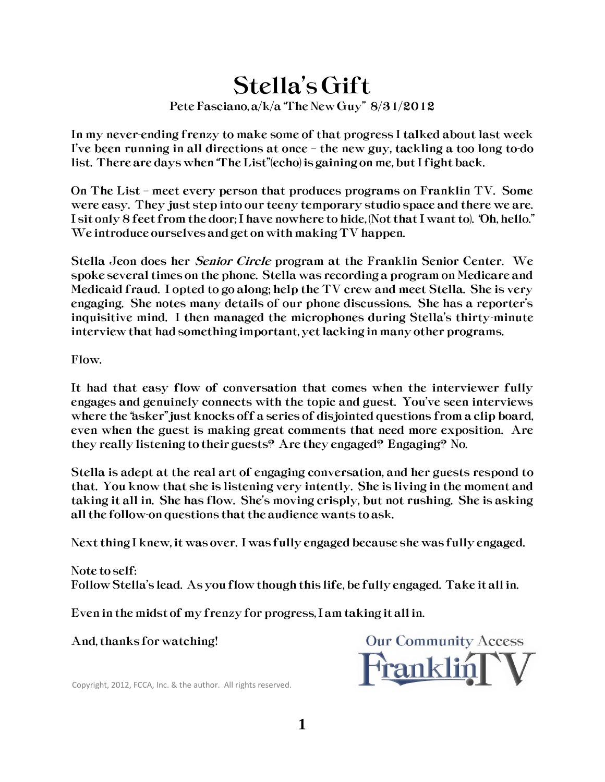## Stella's Gift Pete Fasciano, a/k/a "The New Guy" 8/31/2012

In my never-ending frenzy to make some of that progress I talked about last week I've been running in all directions at once – the new guy, tackling a too long to-do list. There are days when "The List" (echo) is gaining on me, but I fight back.

On The List – meet every person that produces programs on Franklin TV. Some were easy. They just step into our teeny temporary studio space and there we are. I sit only 8 feet from the door; I have nowhere to hide, (Not that I want to). "Oh, hello." We introduce ourselves and get on with making TV happen.

Stella Jeon does her Senior Circle program at the Franklin Senior Center. We spoke several times on the phone. Stella was recording a program on Medicare and Medicaid fraud. I opted to go along; help the TV crew and meet Stella. She is very engaging. She notes many details of our phone discussions. She has a reporter's inquisitive mind. I then managed the microphones during Stella's thirty-minute interview that had something important, yet lacking in many other programs.

Flow.

It had that easy flow of conversation that comes when the interviewer fully engages and genuinely connects with the topic and guest. You've seen interviews where the "asker" just knocks off a series of disjointed questions from a clip board, even when the guest is making great comments that need more exposition. Are they really listening to their guests? Are they engaged? Engaging? No.

Stella is adept at the real art of engaging conversation, and her guests respond to that. You know that she is listening very intently. She is living in the moment and taking it all in. She has flow. She's moving crisply, but not rushing. She is asking all the follow-on questions that the audience wants to ask.

Next thing I knew, it was over. I was fully engaged because she was fully engaged.

Note to self: Follow Stella's lead. As you flow though this life, be fully engaged. Take it all in.

Even in the midst of my frenzy for progress, I am taking it all in.

And, thanks for watching!



Copyright, 2012, FCCA, Inc. & the author. All rights reserved.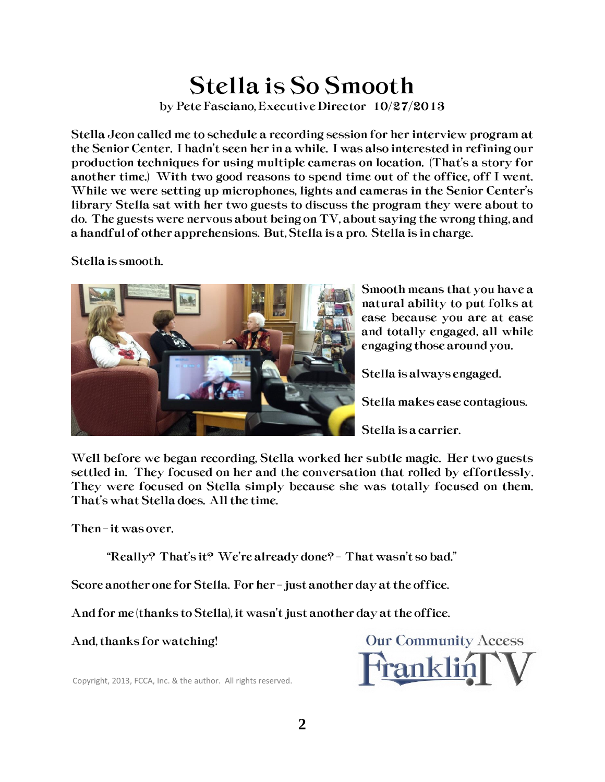### Stella is So Smooth by Pete Fasciano, Executive Director 10/27/2013

Stella Jeon called me to schedule a recording session for her interview program at the Senior Center. I hadn't seen her in a while. I was also interested in refining our production techniques for using multiple cameras on location. (That's a story for another time.) With two good reasons to spend time out of the office, off I went. While we were setting up microphones, lights and cameras in the Senior Center's library Stella sat with her two guests to discuss the program they were about to do. The guests were nervous about being on TV, about saying the wrong thing, and a handful of other apprehensions. But, Stella is a pro. Stella is in charge.

#### Stella is smooth.



Smooth means that you have a natural ability to put folks at ease because you are at ease and totally engaged, all while engaging those around you.

Stella is always engaged.

Stella makes ease contagious.

Stella is a carrier.

Well before we began recording, Stella worked her subtle magic. Her two guests settled in. They focused on her and the conversation that rolled by effortlessly. They were focused on Stella simply because she was totally focused on them. That's what Stella does. All the time.

Then – it was over.

"Really? That's it? We're already done? - That wasn't so bad."

Score another one for Stella. For her – just another day at the office.

And for me (thanks to Stella), it wasn't just another day at the office.

And, thanks for watching!



Copyright, 2013, FCCA, Inc. & the author. All rights reserved.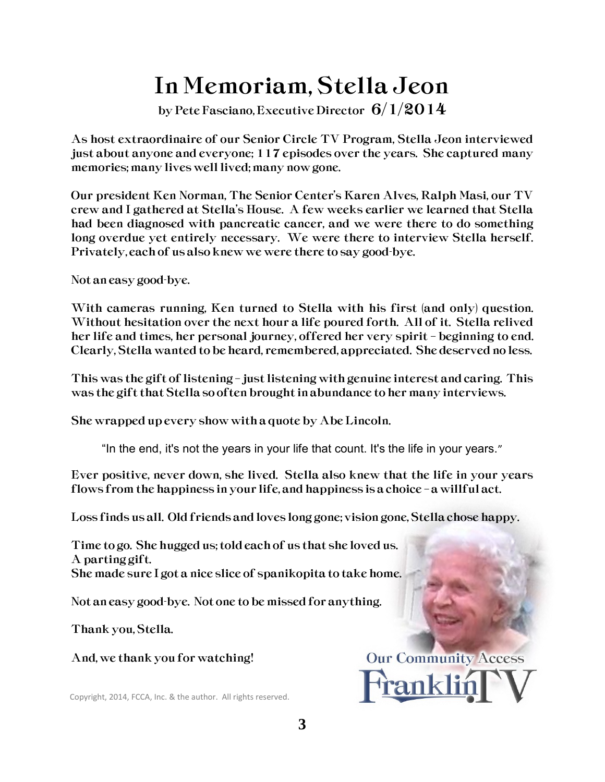# In Memoriam, Stella Jeon

by Pete Fasciano, Executive Director  $6/1/2014$ 

As host extraordinaire of our Senior Circle TV Program, Stella Jeon interviewed just about anyone and everyone; 117 episodes over the years. She captured many memories; many lives well lived; many now gone.

Our president Ken Norman, The Senior Center's Karen Alves, Ralph Masi, our TV crew and I gathered at Stella's House. A few weeks earlier we learned that Stella had been diagnosed with pancreatic cancer, and we were there to do something long overdue yet entirely necessary. We were there to interview Stella herself. Privately, each of us also knew we were there to say good-bye.

Not an easy good-bye.

With cameras running, Ken turned to Stella with his first (and only) question. Without hesitation over the next hour a life poured forth. All of it. Stella relived her life and times, her personal journey, offered her very spirit – beginning to end. Clearly, Stella wanted to be heard, remembered, appreciated. She deserved no less.

This was the gift of listening – just listening with genuine interest and caring. This was the gift that Stella so often brought in abundance to her many interviews.

She wrapped up every show with a quote by Abe Lincoln.

"In the end, it's not the years in your life that count. It's the life in your years."

Ever positive, never down, she lived. Stella also knew that the life in your years flows from the happiness in your life, and happiness is a choice – a willful act.

Loss finds us all. Old friends and loves long gone; vision gone, Stella chose happy.

Time to go. She hugged us; told each of us that she loved us. A parting gift. She made sure I got a nice slice of spanikopita to take home.

Not an easy good-bye. Not one to be missed for anything.

Thank you, Stella.

And, we thank you for watching!



Copyright, 2014, FCCA, Inc. & the author. All rights reserved.